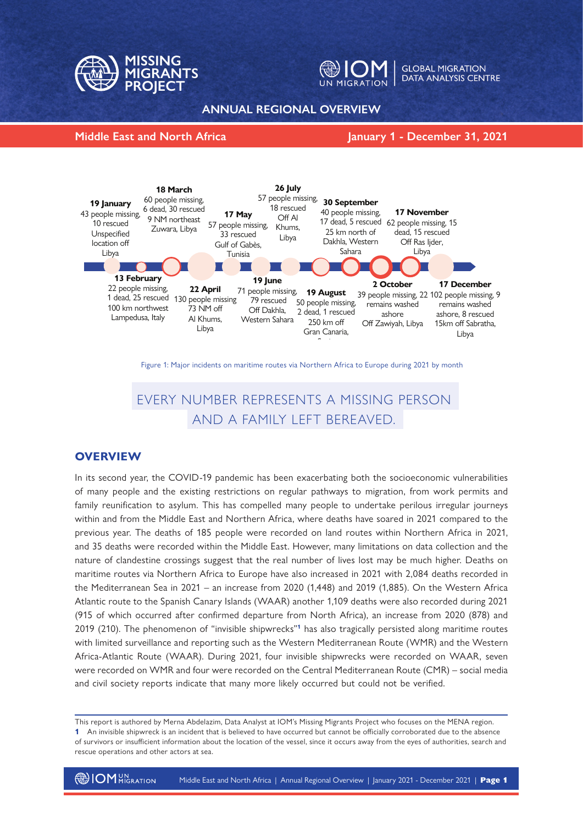



**GLOBAL MIGRATION** DATA ANALYSIS CENTRE

### **ANNUAL REGIONAL OVERVIEW**

#### **Middle East and North Africa January 1 - December 31, 2021**



Figure 1: Major incidents on maritime routes via Northern Africa to Europe during 2021 by month

# EVERY NUMBER REPRESENTS A MISSING PERSON AND A FAMILY LEFT BEREAVED.

# **OVERVIEW**

In its second year, the COVID-19 pandemic has been exacerbating both the socioeconomic vulnerabilities of many people and the existing restrictions on regular pathways to migration, from work permits and family reunification to asylum. This has compelled many people to undertake perilous irregular journeys within and from the Middle East and Northern Africa, where deaths have soared in 2021 compared to the previous year. The deaths of 185 people were recorded on land routes within Northern Africa in 2021, and 35 deaths were recorded within the Middle East. However, many limitations on data collection and the nature of clandestine crossings suggest that the real number of lives lost may be much higher. Deaths on maritime routes via Northern Africa to Europe have also increased in 2021 with 2,084 deaths recorded in the Mediterranean Sea in 2021 – an increase from 2020 (1,448) and 2019 (1,885). On the Western Africa Atlantic route to the Spanish Canary Islands (WAAR) another 1,109 deaths were also recorded during 2021 (915 of which occurred after confirmed departure from North Africa), an increase from 2020 (878) and 2019 (210). The phenomenon of "invisible shipwrecks"**1** has also tragically persisted along maritime routes with limited surveillance and reporting such as the Western Mediterranean Route (WMR) and the Western Africa-Atlantic Route (WAAR). During 2021, four invisible shipwrecks were recorded on WAAR, seven were recorded on WMR and four were recorded on the Central Mediterranean Route (CMR) – social media and civil society reports indicate that many more likely occurred but could not be verified.

This report is authored by Merna Abdelazim, Data Analyst at IOM's Missing Migrants Project who focuses on the MENA region.

**<sup>1</sup>** An invisible shipwreck is an incident that is believed to have occurred but cannot be officially corroborated due to the absence of survivors or insufficient information about the location of the vessel, since it occurs away from the eyes of authorities, search and rescue operations and other actors at sea.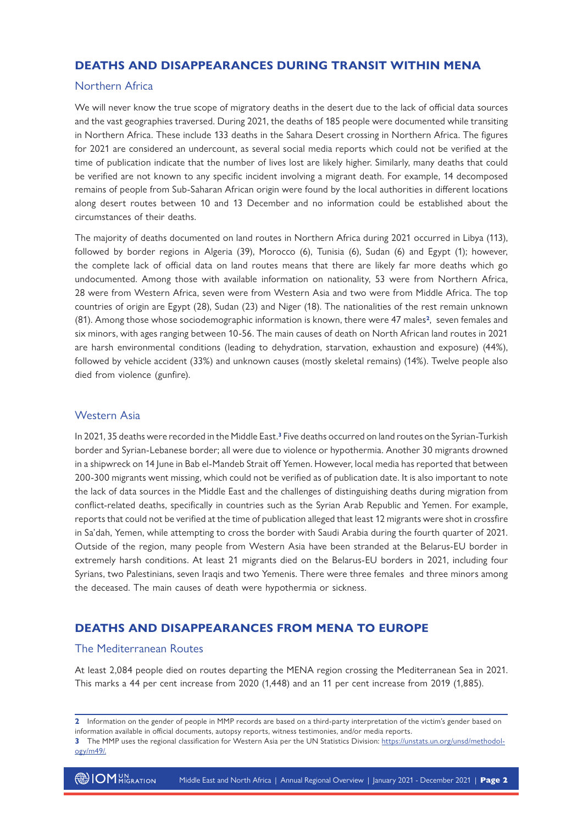# **DEATHS AND DISAPPEARANCES DURING TRANSIT WITHIN MENA**

#### Northern Africa

We will never know the true scope of migratory deaths in the desert due to the lack of official data sources and the vast geographies traversed. During 2021, the deaths of 185 people were documented while transiting in Northern Africa. These include 133 deaths in the Sahara Desert crossing in Northern Africa. The figures for 2021 are considered an undercount, as several social media reports which could not be verified at the time of publication indicate that the number of lives lost are likely higher. Similarly, many deaths that could be verified are not known to any specific incident involving a migrant death. For example, 14 decomposed remains of people from Sub-Saharan African origin were found by the local authorities in different locations along desert routes between 10 and 13 December and no information could be established about the circumstances of their deaths.

The majority of deaths documented on land routes in Northern Africa during 2021 occurred in Libya (113), followed by border regions in Algeria (39), Morocco (6), Tunisia (6), Sudan (6) and Egypt (1); however, the complete lack of official data on land routes means that there are likely far more deaths which go undocumented. Among those with available information on nationality, 53 were from Northern Africa, 28 were from Western Africa, seven were from Western Asia and two were from Middle Africa. The top countries of origin are Egypt (28), Sudan (23) and Niger (18). The nationalities of the rest remain unknown (81). Among those whose sociodemographic information is known, there were 47 males**2**, seven females and six minors, with ages ranging between 10-56. The main causes of death on North African land routes in 2021 are harsh environmental conditions (leading to dehydration, starvation, exhaustion and exposure) (44%), followed by vehicle accident (33%) and unknown causes (mostly skeletal remains) (14%). Twelve people also died from violence (gunfire).

#### Western Asia

In 2021, 35 deaths were recorded in the Middle East.**3** Five deaths occurred on land routes on the Syrian-Turkish border and Syrian-Lebanese border; all were due to violence or hypothermia. Another 30 migrants drowned in a shipwreck on 14 June in Bab el-Mandeb Strait off Yemen. However, local media has reported that between 200-300 migrants went missing, which could not be verified as of publication date. It is also important to note the lack of data sources in the Middle East and the challenges of distinguishing deaths during migration from conflict-related deaths, specifically in countries such as the Syrian Arab Republic and Yemen. For example, reports that could not be verified at the time of publication alleged that least 12 migrants were shot in crossfire in Sa'dah, Yemen, while attempting to cross the border with Saudi Arabia during the fourth quarter of 2021. Outside of the region, many people from Western Asia have been stranded at the Belarus-EU border in extremely harsh conditions. At least 21 migrants died on the Belarus-EU borders in 2021, including four Syrians, two Palestinians, seven Iraqis and two Yemenis. There were three females and three minors among the deceased. The main causes of death were hypothermia or sickness.

# **DEATHS AND DISAPPEARANCES FROM MENA TO EUROPE**

#### The Mediterranean Routes

At least 2,084 people died on routes departing the MENA region crossing the Mediterranean Sea in 2021. This marks a 44 per cent increase from 2020 (1,448) and an 11 per cent increase from 2019 (1,885).

**3** The MMP uses the regional classification for Western Asia per the UN Statistics Division: https://unstats.un.org/unsd/methodology/m49/.

**<sup>2</sup>** Information on the gender of people in MMP records are based on a third-party interpretation of the victim's gender based on information available in official documents, autopsy reports, witness testimonies, and/or media reports.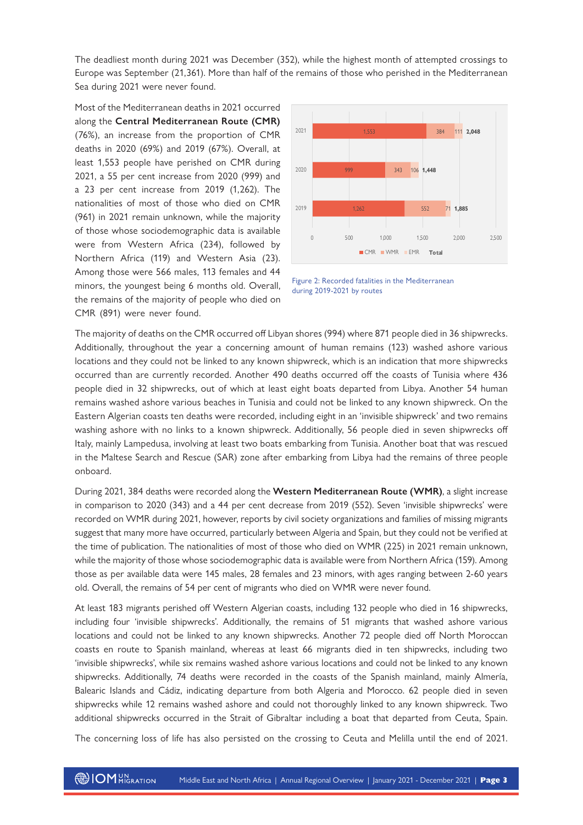The deadliest month during 2021 was December (352), while the highest month of attempted crossings to Europe was September (21,361). More than half of the remains of those who perished in the Mediterranean Sea during 2021 were never found.

Most of the Mediterranean deaths in 2021 occurred along the **Central Mediterranean Route (CMR)**  (76%), an increase from the proportion of CMR deaths in 2020 (69%) and 2019 (67%). Overall, at least 1,553 people have perished on CMR during 2021, a 55 per cent increase from 2020 (999) and a 23 per cent increase from 2019 (1,262). The nationalities of most of those who died on CMR (961) in 2021 remain unknown, while the majority of those whose sociodemographic data is available were from Western Africa (234), followed by Northern Africa (119) and Western Asia (23). Among those were 566 males, 113 females and 44 minors, the youngest being 6 months old. Overall, the remains of the majority of people who died on CMR (891) were never found.



Figure 2: Recorded fatalities in the Mediterranean during 2019-2021 by routes

The majority of deaths on the CMR occurred off Libyan shores (994) where 871 people died in 36 shipwrecks. Additionally, throughout the year a concerning amount of human remains (123) washed ashore various locations and they could not be linked to any known shipwreck, which is an indication that more shipwrecks occurred than are currently recorded. Another 490 deaths occurred off the coasts of Tunisia where 436 people died in 32 shipwrecks, out of which at least eight boats departed from Libya. Another 54 human remains washed ashore various beaches in Tunisia and could not be linked to any known shipwreck. On the Eastern Algerian coasts ten deaths were recorded, including eight in an 'invisible shipwreck' and two remains washing ashore with no links to a known shipwreck. Additionally, 56 people died in seven shipwrecks off Italy, mainly Lampedusa, involving at least two boats embarking from Tunisia. Another boat that was rescued in the Maltese Search and Rescue (SAR) zone after embarking from Libya had the remains of three people onboard.

During 2021, 384 deaths were recorded along the **Western Mediterranean Route (WMR)**, a slight increase in comparison to 2020 (343) and a 44 per cent decrease from 2019 (552). Seven 'invisible shipwrecks' were recorded on WMR during 2021, however, reports by civil society organizations and families of missing migrants suggest that many more have occurred, particularly between Algeria and Spain, but they could not be verified at the time of publication. The nationalities of most of those who died on WMR (225) in 2021 remain unknown, while the majority of those whose sociodemographic data is available were from Northern Africa (159). Among those as per available data were 145 males, 28 females and 23 minors, with ages ranging between 2-60 years old. Overall, the remains of 54 per cent of migrants who died on WMR were never found.

At least 183 migrants perished off Western Algerian coasts, including 132 people who died in 16 shipwrecks, including four 'invisible shipwrecks'. Additionally, the remains of 51 migrants that washed ashore various locations and could not be linked to any known shipwrecks. Another 72 people died off North Moroccan coasts en route to Spanish mainland, whereas at least 66 migrants died in ten shipwrecks, including two 'invisible shipwrecks', while six remains washed ashore various locations and could not be linked to any known shipwrecks. Additionally, 74 deaths were recorded in the coasts of the Spanish mainland, mainly Almería, Balearic Islands and Cádiz, indicating departure from both Algeria and Morocco. 62 people died in seven shipwrecks while 12 remains washed ashore and could not thoroughly linked to any known shipwreck. Two additional shipwrecks occurred in the Strait of Gibraltar including a boat that departed from Ceuta, Spain.

The concerning loss of life has also persisted on the crossing to Ceuta and Melilla until the end of 2021.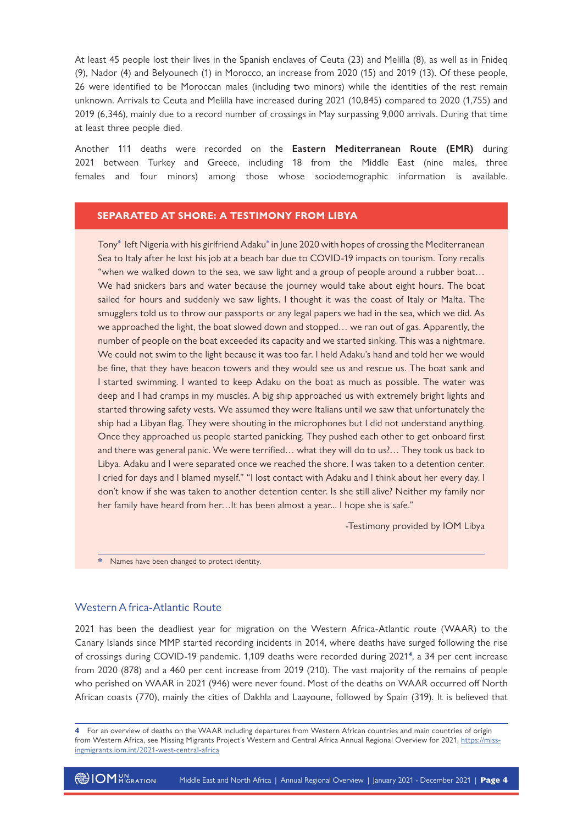At least 45 people lost their lives in the Spanish enclaves of Ceuta (23) and Melilla (8), as well as in Fnideq (9), Nador (4) and Belyounech (1) in Morocco, an increase from 2020 (15) and 2019 (13). Of these people, 26 were identified to be Moroccan males (including two minors) while the identities of the rest remain unknown. Arrivals to Ceuta and Melilla have increased during 2021 (10,845) compared to 2020 (1,755) and 2019 (6,346), mainly due to a record number of crossings in May surpassing 9,000 arrivals. During that time at least three people died.

Another 111 deaths were recorded on the **Eastern Mediterranean Route (EMR)** during 2021 between Turkey and Greece, including 18 from the Middle East (nine males, three females and four minors) among those whose sociodemographic information is available.

#### **SEPARATED AT SHORE: A TESTIMONY FROM LIBYA**

Tony**\*1**left Nigeria with his girlfriend Adaku**\*** in June 2020 with hopes of crossing the Mediterranean Sea to Italy after he lost his job at a beach bar due to COVID-19 impacts on tourism. Tony recalls "when we walked down to the sea, we saw light and a group of people around a rubber boat… We had snickers bars and water because the journey would take about eight hours. The boat sailed for hours and suddenly we saw lights. I thought it was the coast of Italy or Malta. The smugglers told us to throw our passports or any legal papers we had in the sea, which we did. As we approached the light, the boat slowed down and stopped… we ran out of gas. Apparently, the number of people on the boat exceeded its capacity and we started sinking. This was a nightmare. We could not swim to the light because it was too far. I held Adaku's hand and told her we would be fine, that they have beacon towers and they would see us and rescue us. The boat sank and I started swimming. I wanted to keep Adaku on the boat as much as possible. The water was deep and I had cramps in my muscles. A big ship approached us with extremely bright lights and started throwing safety vests. We assumed they were Italians until we saw that unfortunately the ship had a Libyan flag. They were shouting in the microphones but I did not understand anything. Once they approached us people started panicking. They pushed each other to get onboard first and there was general panic. We were terrified… what they will do to us?… They took us back to Libya. Adaku and I were separated once we reached the shore. I was taken to a detention center. I cried for days and I blamed myself." "I lost contact with Adaku and I think about her every day. I don't know if she was taken to another detention center. Is she still alive? Neither my family nor her family have heard from her…It has been almost a year... I hope she is safe."

-Testimony provided by IOM Libya

**\*** Names have been changed to protect identity.

#### Western A frica-Atlantic Route

2021 has been the deadliest year for migration on the Western Africa-Atlantic route (WAAR) to the Canary Islands since MMP started recording incidents in 2014, where deaths have surged following the rise of crossings during COVID-19 pandemic. 1,109 deaths were recorded during 2021**4**, a 34 per cent increase from 2020 (878) and a 460 per cent increase from 2019 (210). The vast majority of the remains of people who perished on WAAR in 2021 (946) were never found. Most of the deaths on WAAR occurred off North African coasts (770), mainly the cities of Dakhla and Laayoune, followed by Spain (319). It is believed that

**<sup>4</sup>** For an overview of deaths on the WAAR including departures from Western African countries and main countries of origin from Western Africa, see Missing Migrants Project's Western and Central Africa Annual Regional Overview for 2021, https://missingmigrants.iom.int/2021-west-central-africa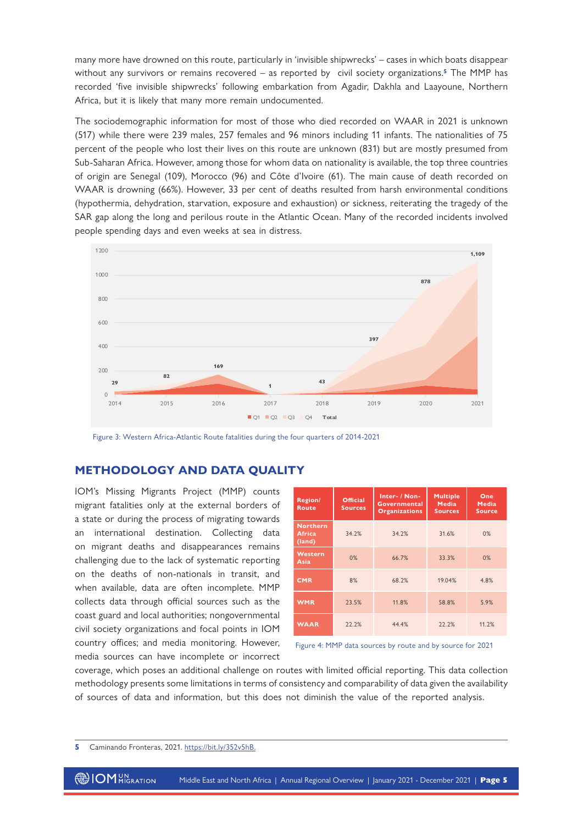many more have drowned on this route, particularly in 'invisible shipwrecks' – cases in which boats disappear without any survivors or remains recovered – as reported by civil society organizations.**5** The MMP has recorded 'five invisible shipwrecks' following embarkation from Agadir, Dakhla and Laayoune, Northern Africa, but it is likely that many more remain undocumented.

The sociodemographic information for most of those who died recorded on WAAR in 2021 is unknown (517) while there were 239 males, 257 females and 96 minors including 11 infants. The nationalities of 75 percent of the people who lost their lives on this route are unknown (831) but are mostly presumed from Sub-Saharan Africa. However, among those for whom data on nationality is available, the top three countries of origin are Senegal (109), Morocco (96) and Côte d'Ivoire (61). The main cause of death recorded on WAAR is drowning (66%). However, 33 per cent of deaths resulted from harsh environmental conditions (hypothermia, dehydration, starvation, exposure and exhaustion) or sickness, reiterating the tragedy of the SAR gap along the long and perilous route in the Atlantic Ocean. Many of the recorded incidents involved people spending days and even weeks at sea in distress.



Figure 3: Western Africa-Atlantic Route fatalities during the four quarters of 2014-2021

### **METHODOLOGY AND DATA QUALITY**

IOM's Missing Migrants Project (MMP) counts migrant fatalities only at the external borders of a state or during the process of migrating towards an international destination. Collecting data on migrant deaths and disappearances remains challenging due to the lack of systematic reporting on the deaths of non-nationals in transit, and when available, data are often incomplete. MMP collects data through official sources such as the coast guard and local authorities; nongovernmental civil society organizations and focal points in IOM country offices; and media monitoring. However, media sources can have incomplete or incorrect

| Region/<br><b>Route</b>                    | <b>Official</b><br><b>Sources</b> | Inter- / Non-<br><b>Governmental</b><br><b>Organizations</b> | <b>Multiple</b><br><b>Media</b><br><b>Sources</b> | One<br><b>Media</b><br><b>Source</b> |
|--------------------------------------------|-----------------------------------|--------------------------------------------------------------|---------------------------------------------------|--------------------------------------|
| <b>Northern</b><br><b>Africa</b><br>(land) | 34.2%                             | 34.2%                                                        | 31.6%                                             | 0%                                   |
| Western<br>Asia                            | 0%                                | 66.7%                                                        | 33.3%                                             | 0%                                   |
| <b>CMR</b>                                 | 8%                                | 68.2%                                                        | 19.04%                                            | 4.8%                                 |
| <b>WMR</b>                                 | 23.5%                             | 11.8%                                                        | 58.8%                                             | 5.9%                                 |
| <b>WAAR</b>                                | 22.2%                             | 44.4%                                                        | 22.2%                                             | 11.2%                                |



coverage, which poses an additional challenge on routes with limited official reporting. This data collection methodology presents some limitations in terms of consistency and comparability of data given the availability of sources of data and information, but this does not diminish the value of the reported analysis.

**5** Caminando Fronteras, 2021. [https://bit.ly/352v5hB.](https://bit.ly/352v5hB)

**OM** UN ALGRATION Middle East and North Africa | Annual Regional Overview | January 2021 - December 2021 | **Page 5**